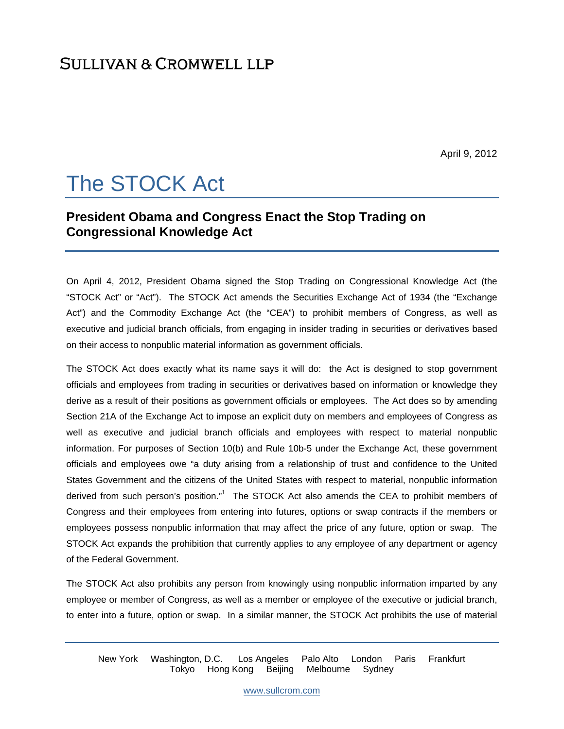# **SULLIVAN & CROMWELL LLP**

April 9, 2012

# The STOCK Act

## **President Obama and Congress Enact the Stop Trading on Congressional Knowledge Act**

On April 4, 2012, President Obama signed the Stop Trading on Congressional Knowledge Act (the "STOCK Act" or "Act"). The STOCK Act amends the Securities Exchange Act of 1934 (the "Exchange Act") and the Commodity Exchange Act (the "CEA") to prohibit members of Congress, as well as executive and judicial branch officials, from engaging in insider trading in securities or derivatives based on their access to nonpublic material information as government officials.

The STOCK Act does exactly what its name says it will do: the Act is designed to stop government officials and employees from trading in securities or derivatives based on information or knowledge they derive as a result of their positions as government officials or employees. The Act does so by amending Section 21A of the Exchange Act to impose an explicit duty on members and employees of Congress as well as executive and judicial branch officials and employees with respect to material nonpublic information. For purposes of Section 10(b) and Rule 10b-5 under the Exchange Act, these government officials and employees owe "a duty arising from a relationship of trust and confidence to the United States Government and the citizens of the United States with respect to material, nonpublic information derived from such person's position."<sup>1</sup> The STOCK Act also amends the CEA to prohibit members of Congress and their employees from entering into futures, options or swap contracts if the members or employees possess nonpublic information that may affect the price of any future, option or swap. The STOCK Act expands the prohibition that currently applies to any employee of any department or agency of the Federal Government.

The STOCK Act also prohibits any person from knowingly using nonpublic information imparted by any employee or member of Congress, as well as a member or employee of the executive or judicial branch, to enter into a future, option or swap. In a similar manner, the STOCK Act prohibits the use of material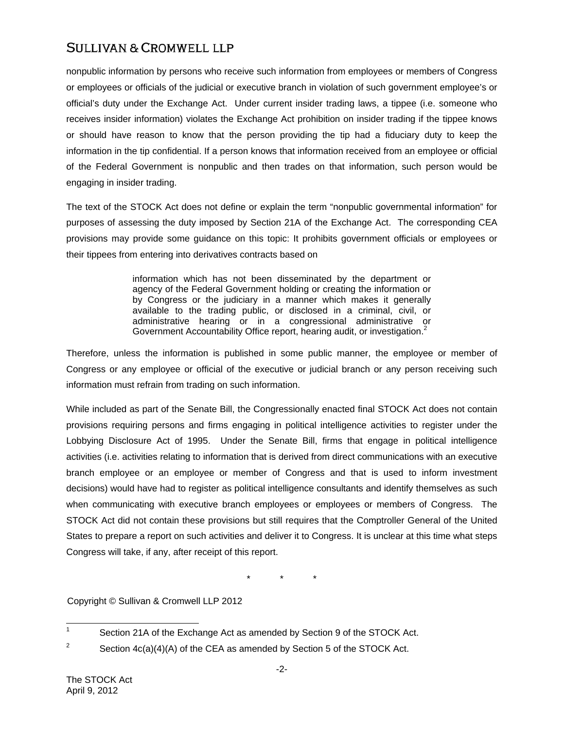# **SULLIVAN & CROMWELL LLP**

nonpublic information by persons who receive such information from employees or members of Congress or employees or officials of the judicial or executive branch in violation of such government employee's or official's duty under the Exchange Act. Under current insider trading laws, a tippee (i.e. someone who receives insider information) violates the Exchange Act prohibition on insider trading if the tippee knows or should have reason to know that the person providing the tip had a fiduciary duty to keep the information in the tip confidential. If a person knows that information received from an employee or official of the Federal Government is nonpublic and then trades on that information, such person would be engaging in insider trading.

The text of the STOCK Act does not define or explain the term "nonpublic governmental information" for purposes of assessing the duty imposed by Section 21A of the Exchange Act. The corresponding CEA provisions may provide some guidance on this topic: It prohibits government officials or employees or their tippees from entering into derivatives contracts based on

> information which has not been disseminated by the department or agency of the Federal Government holding or creating the information or by Congress or the judiciary in a manner which makes it generally available to the trading public, or disclosed in a criminal, civil, or administrative hearing or in a congressional administrative or Government Accountability Office report, hearing audit, or investigation.<sup>2</sup>

Therefore, unless the information is published in some public manner, the employee or member of Congress or any employee or official of the executive or judicial branch or any person receiving such information must refrain from trading on such information.

While included as part of the Senate Bill, the Congressionally enacted final STOCK Act does not contain provisions requiring persons and firms engaging in political intelligence activities to register under the Lobbying Disclosure Act of 1995. Under the Senate Bill, firms that engage in political intelligence activities (i.e. activities relating to information that is derived from direct communications with an executive branch employee or an employee or member of Congress and that is used to inform investment decisions) would have had to register as political intelligence consultants and identify themselves as such when communicating with executive branch employees or employees or members of Congress. The STOCK Act did not contain these provisions but still requires that the Comptroller General of the United States to prepare a report on such activities and deliver it to Congress. It is unclear at this time what steps Congress will take, if any, after receipt of this report.

\* \* \*

Copyright © Sullivan & Cromwell LLP 2012

 $\frac{1}{1}$ Section 21A of the Exchange Act as amended by Section 9 of the STOCK Act.

<sup>2</sup> Section 4c(a)(4)(A) of the CEA as amended by Section 5 of the STOCK Act.